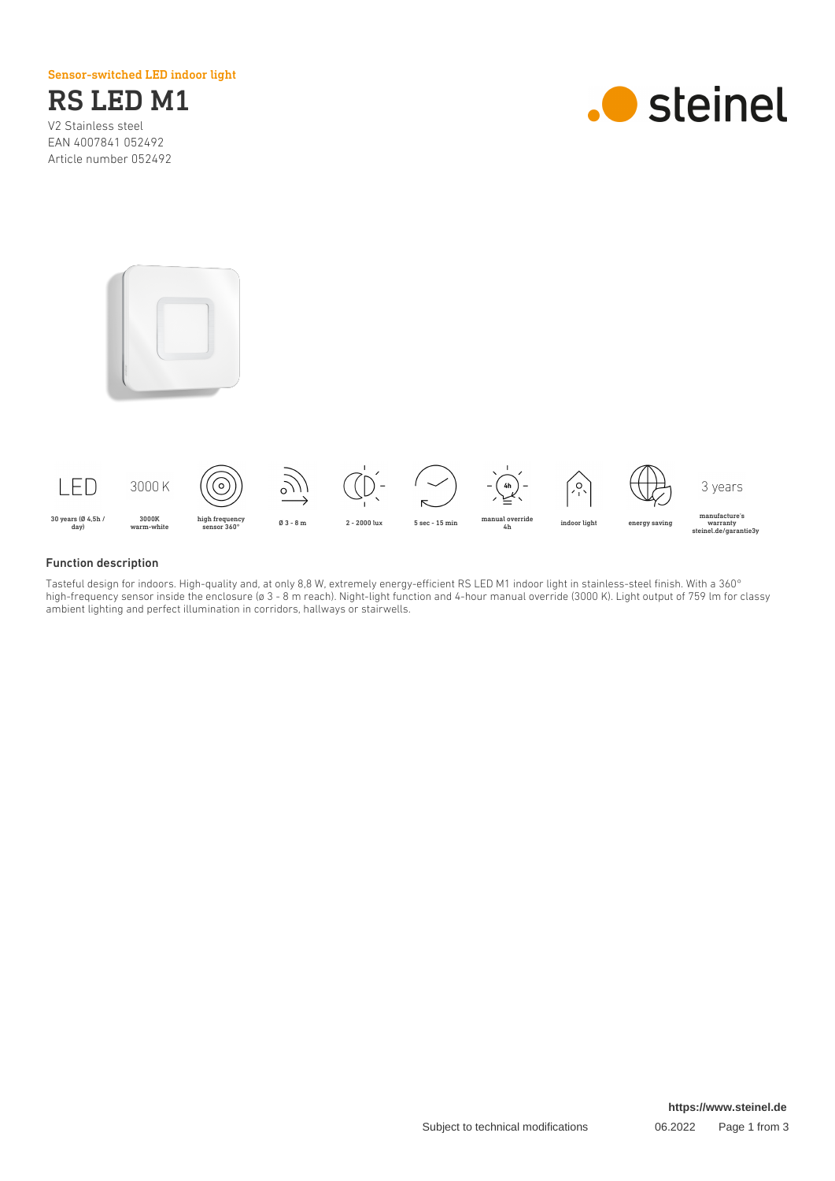Sensor-switched LED indoor light



EAN 4007841 052492 Article number 052492







## Function description

Tasteful design for indoors. High-quality and, at only 8,8 W, extremely energy-efficient RS LED M1 indoor light in stainless-steel finish. With a 360° high-frequency sensor inside the enclosure (ø 3 - 8 m reach). Night-light function and 4-hour manual override (3000 K). Light output of 759 lm for classy ambient lighting and perfect illumination in corridors, hallways or stairwells.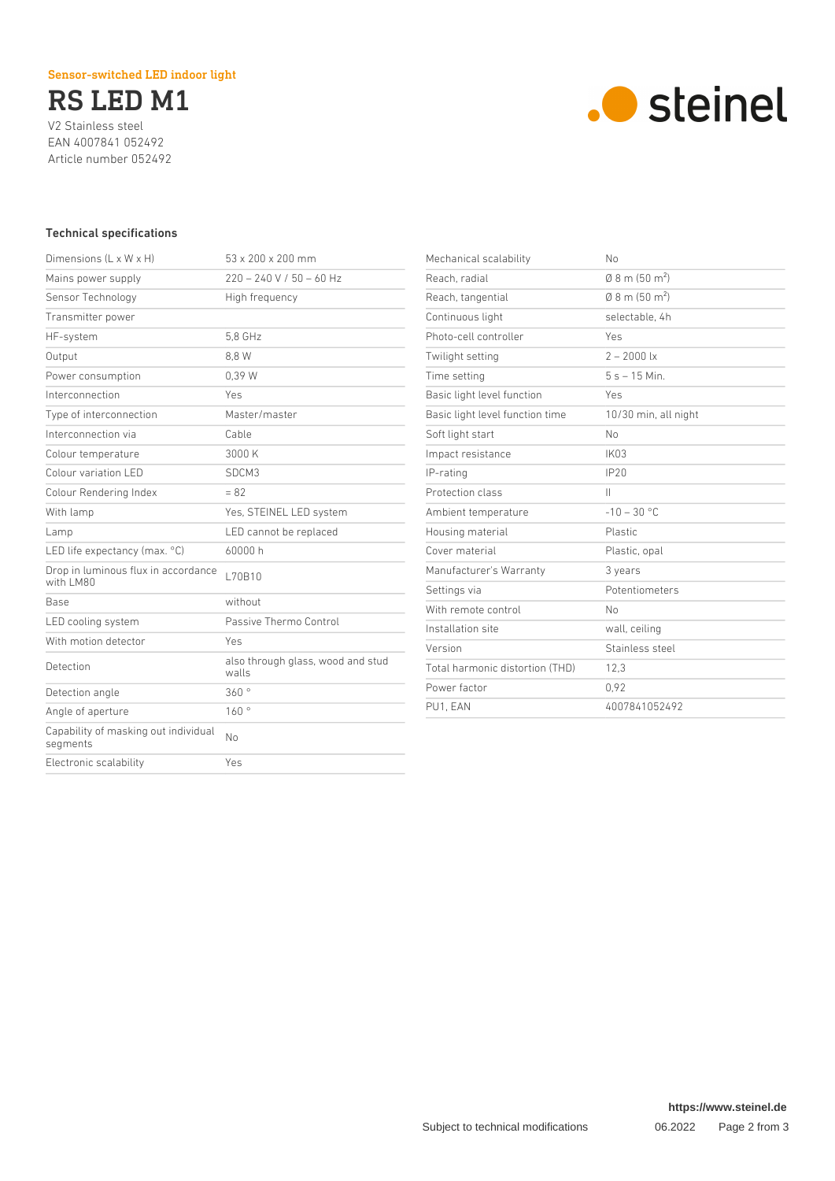# Sensor-switched LED indoor light

RS LED M1

V2 Stainless steel EAN 4007841 052492 Article number 052492



## Technical specifications

| Dimensions $(L \times W \times H)$               | $53 \times 200 \times 200$ mm              |
|--------------------------------------------------|--------------------------------------------|
| Mains power supply                               | $220 - 240 V / 50 - 60 Hz$                 |
| Sensor Technology                                | High frequency                             |
| Transmitter power                                |                                            |
| HF-system                                        | 5.8 GHz                                    |
| Output                                           | 8.8 W                                      |
| Power consumption                                | 0.39 W                                     |
| Interconnection                                  | Yes                                        |
| Type of interconnection                          | Master/master                              |
| Interconnection via                              | Cable                                      |
| Colour temperature                               | 3000 K                                     |
| Colour variation LED                             | SDCM3                                      |
| Colour Rendering Index                           | $= 82$                                     |
| With lamp                                        | Yes, STEINEL LED system                    |
| Lamp                                             | LED cannot be replaced                     |
| LED life expectancy (max. °C)                    | 60000 h                                    |
| Drop in luminous flux in accordance<br>with LM80 | L70B10                                     |
| Base                                             | without                                    |
| LED cooling system                               | Passive Thermo Control                     |
| With motion detector                             | Yes                                        |
| Detection                                        | also through glass, wood and stud<br>walls |
| Detection angle                                  | 360°                                       |
| Angle of aperture                                | 160°                                       |
| Capability of masking out individual<br>segments | Nο                                         |
| Electronic scalability                           | Yes                                        |
|                                                  |                                            |

| Mechanical scalability          | No                                 |
|---------------------------------|------------------------------------|
| Reach, radial                   | $(0.8 \text{ m} (50 \text{ m}^2))$ |
| Reach, tangential               | $0.8$ m (50 m <sup>2</sup> )       |
| Continuous light                | selectable. 4h                     |
| Photo-cell controller           | Yes                                |
| Twilight setting                | $2 - 2000$ lx                      |
| Time setting                    | $5s - 15$ Min.                     |
| Basic light level function      | Yes                                |
| Basic light level function time | 10/30 min, all night               |
| Soft light start                | No                                 |
| Impact resistance               | <b>IK03</b>                        |
| IP-rating                       | IP20                               |
| Protection class                | $\mathbf{H}$                       |
| Ambient temperature             | $-10 - 30 °C$                      |
| Housing material                | Plastic                            |
| Cover material                  | Plastic, opal                      |
| Manufacturer's Warranty         | 3 years                            |
| Settings via                    | Potentiometers                     |
| With remote control             | No                                 |
| Installation site               | wall, ceiling                      |
| Version                         | Stainless steel                    |
| Total harmonic distortion (THD) | 12,3                               |
| Power factor                    | 0.92                               |
| PU1, EAN                        | 4007841052492                      |
|                                 |                                    |